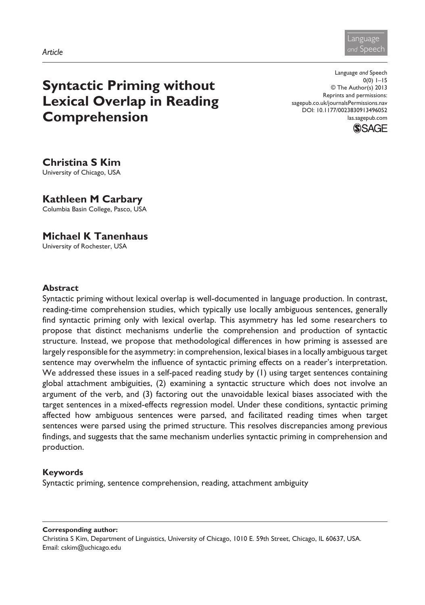

## **Syntactic Priming without Lexical Overlap in Reading Comprehension**

Language *and* Speech  $0(0)$  1–15 © The Author(s) 2013 Reprints and permissions: sagepub.co.uk/journalsPermissions.nav DOI: 10.1177/0023830913496052 las.sagepub.com



**Christina S Kim** University of Chicago, USA

## **Kathleen M Carbary**

Columbia Basin College, Pasco, USA

### **Michael K Tanenhaus**

University of Rochester, USA

### **Abstract**

Syntactic priming without lexical overlap is well-documented in language production. In contrast, reading-time comprehension studies, which typically use locally ambiguous sentences, generally find syntactic priming only with lexical overlap. This asymmetry has led some researchers to propose that distinct mechanisms underlie the comprehension and production of syntactic structure. Instead, we propose that methodological differences in how priming is assessed are largely responsible for the asymmetry: in comprehension, lexical biases in a locally ambiguous target sentence may overwhelm the influence of syntactic priming effects on a reader's interpretation. We addressed these issues in a self-paced reading study by (1) using target sentences containing global attachment ambiguities, (2) examining a syntactic structure which does not involve an argument of the verb, and (3) factoring out the unavoidable lexical biases associated with the target sentences in a mixed-effects regression model. Under these conditions, syntactic priming affected how ambiguous sentences were parsed, and facilitated reading times when target sentences were parsed using the primed structure. This resolves discrepancies among previous findings, and suggests that the same mechanism underlies syntactic priming in comprehension and production.

### **Keywords**

Syntactic priming, sentence comprehension, reading, attachment ambiguity

**Corresponding author:**

Christina S Kim, Department of Linguistics, University of Chicago, 1010 E. 59th Street, Chicago, IL 60637, USA. Email: cskim@uchicago.edu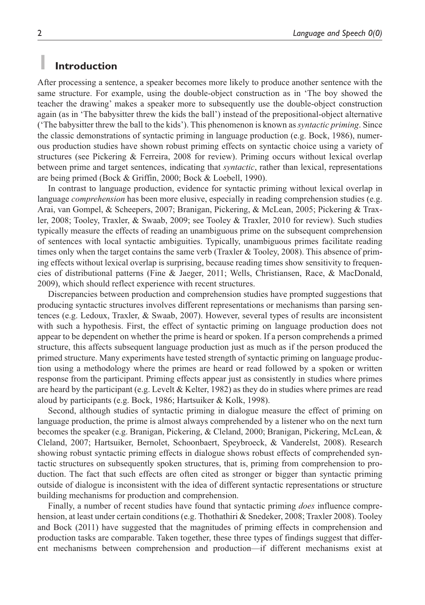# **1 Introduction**

After processing a sentence, a speaker becomes more likely to produce another sentence with the same structure. For example, using the double-object construction as in 'The boy showed the teacher the drawing' makes a speaker more to subsequently use the double-object construction again (as in 'The babysitter threw the kids the ball') instead of the prepositional-object alternative ('The babysitter threw the ball to the kids'). This phenomenon is known as *syntactic priming*. Since the classic demonstrations of syntactic priming in language production (e.g. Bock, 1986), numerous production studies have shown robust priming effects on syntactic choice using a variety of structures (see Pickering & Ferreira, 2008 for review). Priming occurs without lexical overlap between prime and target sentences, indicating that *syntactic*, rather than lexical, representations are being primed (Bock & Griffin, 2000; Bock & Loebell, 1990).

In contrast to language production, evidence for syntactic priming without lexical overlap in language *comprehension* has been more elusive, especially in reading comprehension studies (e.g. Arai, van Gompel, & Scheepers, 2007; Branigan, Pickering, & McLean, 2005; Pickering & Traxler, 2008; Tooley, Traxler, & Swaab, 2009; see Tooley & Traxler, 2010 for review). Such studies typically measure the effects of reading an unambiguous prime on the subsequent comprehension of sentences with local syntactic ambiguities. Typically, unambiguous primes facilitate reading times only when the target contains the same verb (Traxler & Tooley, 2008). This absence of priming effects without lexical overlap is surprising, because reading times show sensitivity to frequencies of distributional patterns (Fine & Jaeger, 2011; Wells, Christiansen, Race, & MacDonald, 2009), which should reflect experience with recent structures.

Discrepancies between production and comprehension studies have prompted suggestions that producing syntactic structures involves different representations or mechanisms than parsing sentences (e.g. Ledoux, Traxler, & Swaab, 2007). However, several types of results are inconsistent with such a hypothesis. First, the effect of syntactic priming on language production does not appear to be dependent on whether the prime is heard or spoken. If a person comprehends a primed structure, this affects subsequent language production just as much as if the person produced the primed structure. Many experiments have tested strength of syntactic priming on language production using a methodology where the primes are heard or read followed by a spoken or written response from the participant. Priming effects appear just as consistently in studies where primes are heard by the participant (e.g. Levelt & Kelter, 1982) as they do in studies where primes are read aloud by participants (e.g. Bock, 1986; Hartsuiker & Kolk, 1998).

Second, although studies of syntactic priming in dialogue measure the effect of priming on language production, the prime is almost always comprehended by a listener who on the next turn becomes the speaker (e.g. Branigan, Pickering, & Cleland, 2000; Branigan, Pickering, McLean, & Cleland, 2007; Hartsuiker, Bernolet, Schoonbaert, Speybroeck, & Vanderelst, 2008). Research showing robust syntactic priming effects in dialogue shows robust effects of comprehended syntactic structures on subsequently spoken structures, that is, priming from comprehension to production. The fact that such effects are often cited as stronger or bigger than syntactic priming outside of dialogue is inconsistent with the idea of different syntactic representations or structure building mechanisms for production and comprehension.

Finally, a number of recent studies have found that syntactic priming *does* influence comprehension, at least under certain conditions (e.g. Thothathiri & Snedeker, 2008; Traxler 2008). Tooley and Bock (2011) have suggested that the magnitudes of priming effects in comprehension and production tasks are comparable. Taken together, these three types of findings suggest that different mechanisms between comprehension and production—if different mechanisms exist at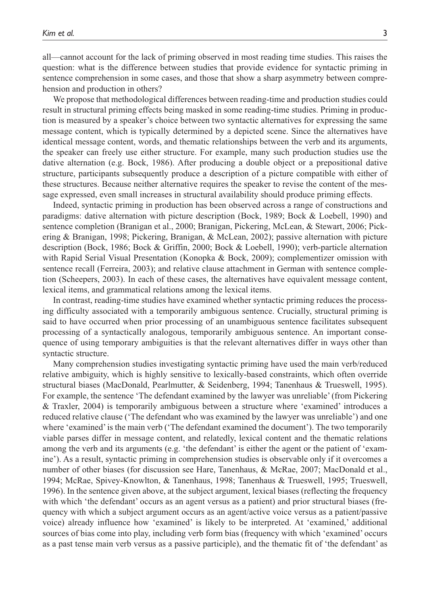all—cannot account for the lack of priming observed in most reading time studies. This raises the question: what is the difference between studies that provide evidence for syntactic priming in sentence comprehension in some cases, and those that show a sharp asymmetry between comprehension and production in others?

We propose that methodological differences between reading-time and production studies could result in structural priming effects being masked in some reading-time studies. Priming in production is measured by a speaker's choice between two syntactic alternatives for expressing the same message content, which is typically determined by a depicted scene. Since the alternatives have identical message content, words, and thematic relationships between the verb and its arguments, the speaker can freely use either structure. For example, many such production studies use the dative alternation (e.g. Bock, 1986). After producing a double object or a prepositional dative structure, participants subsequently produce a description of a picture compatible with either of these structures. Because neither alternative requires the speaker to revise the content of the message expressed, even small increases in structural availability should produce priming effects.

Indeed, syntactic priming in production has been observed across a range of constructions and paradigms: dative alternation with picture description (Bock, 1989; Bock & Loebell, 1990) and sentence completion (Branigan et al., 2000; Branigan, Pickering, McLean, & Stewart, 2006; Pickering & Branigan, 1998; Pickering, Branigan, & McLean, 2002); passive alternation with picture description (Bock, 1986; Bock & Griffin, 2000; Bock & Loebell, 1990); verb-particle alternation with Rapid Serial Visual Presentation (Konopka & Bock, 2009); complementizer omission with sentence recall (Ferreira, 2003); and relative clause attachment in German with sentence completion (Scheepers, 2003). In each of these cases, the alternatives have equivalent message content, lexical items, and grammatical relations among the lexical items.

In contrast, reading-time studies have examined whether syntactic priming reduces the processing difficulty associated with a temporarily ambiguous sentence. Crucially, structural priming is said to have occurred when prior processing of an unambiguous sentence facilitates subsequent processing of a syntactically analogous, temporarily ambiguous sentence. An important consequence of using temporary ambiguities is that the relevant alternatives differ in ways other than syntactic structure.

Many comprehension studies investigating syntactic priming have used the main verb/reduced relative ambiguity, which is highly sensitive to lexically-based constraints, which often override structural biases (MacDonald, Pearlmutter, & Seidenberg, 1994; Tanenhaus & Trueswell, 1995). For example, the sentence 'The defendant examined by the lawyer was unreliable' (from Pickering & Traxler, 2004) is temporarily ambiguous between a structure where 'examined' introduces a reduced relative clause ('The defendant who was examined by the lawyer was unreliable') and one where 'examined' is the main verb ('The defendant examined the document'). The two temporarily viable parses differ in message content, and relatedly, lexical content and the thematic relations among the verb and its arguments (e.g. 'the defendant' is either the agent or the patient of 'examine'). As a result, syntactic priming in comprehension studies is observable only if it overcomes a number of other biases (for discussion see Hare, Tanenhaus, & McRae, 2007; MacDonald et al., 1994; McRae, Spivey-Knowlton, & Tanenhaus, 1998; Tanenhaus & Trueswell, 1995; Trueswell, 1996). In the sentence given above, at the subject argument, lexical biases (reflecting the frequency with which 'the defendant' occurs as an agent versus as a patient) and prior structural biases (frequency with which a subject argument occurs as an agent/active voice versus as a patient/passive voice) already influence how 'examined' is likely to be interpreted. At 'examined,' additional sources of bias come into play, including verb form bias (frequency with which 'examined' occurs as a past tense main verb versus as a passive participle), and the thematic fit of 'the defendant' as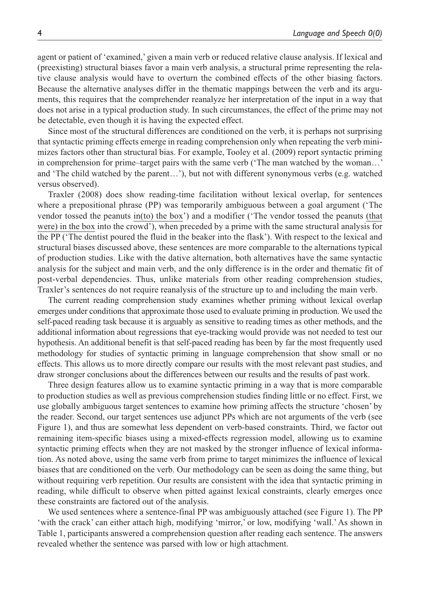agent or patient of 'examined,' given a main verb or reduced relative clause analysis. If lexical and (preexisting) structural biases favor a main verb analysis, a structural prime representing the relative clause analysis would have to overturn the combined effects of the other biasing factors. Because the alternative analyses differ in the thematic mappings between the verb and its arguments, this requires that the comprehender reanalyze her interpretation of the input in a way that does not arise in a typical production study. In such circumstances, the effect of the prime may not be detectable, even though it is having the expected effect.

Since most of the structural differences are conditioned on the verb, it is perhaps not surprising that syntactic priming effects emerge in reading comprehension only when repeating the verb minimizes factors other than structural bias. For example, Tooley et al. (2009) report syntactic priming in comprehension for prime–target pairs with the same verb ('The man watched by the woman…' and 'The child watched by the parent…'), but not with different synonymous verbs (e.g. watched versus observed).

Traxler (2008) does show reading-time facilitation without lexical overlap, for sentences where a prepositional phrase (PP) was temporarily ambiguous between a goal argument ('The vendor tossed the peanuts in(to) the box') and a modifier ('The vendor tossed the peanuts (that were) in the box into the crowd'), when preceded by a prime with the same structural analysis for the PP ('The dentist poured the fluid in the beaker into the flask'). With respect to the lexical and structural biases discussed above, these sentences are more comparable to the alternations typical of production studies. Like with the dative alternation, both alternatives have the same syntactic analysis for the subject and main verb, and the only difference is in the order and thematic fit of post-verbal dependencies. Thus, unlike materials from other reading comprehension studies, Traxler's sentences do not require reanalysis of the structure up to and including the main verb.

The current reading comprehension study examines whether priming without lexical overlap emerges under conditions that approximate those used to evaluate priming in production. We used the self-paced reading task because it is arguably as sensitive to reading times as other methods, and the additional information about regressions that eye-tracking would provide was not needed to test our hypothesis. An additional benefit is that self-paced reading has been by far the most frequently used methodology for studies of syntactic priming in language comprehension that show small or no effects. This allows us to more directly compare our results with the most relevant past studies, and draw stronger conclusions about the differences between our results and the results of past work.

Three design features allow us to examine syntactic priming in a way that is more comparable to production studies as well as previous comprehension studies finding little or no effect. First, we use globally ambiguous target sentences to examine how priming affects the structure 'chosen' by the reader. Second, our target sentences use adjunct PPs which are not arguments of the verb (see Figure 1), and thus are somewhat less dependent on verb-based constraints. Third, we factor out remaining item-specific biases using a mixed-effects regression model, allowing us to examine syntactic priming effects when they are not masked by the stronger influence of lexical information. As noted above, using the same verb from prime to target minimizes the influence of lexical biases that are conditioned on the verb. Our methodology can be seen as doing the same thing, but without requiring verb repetition. Our results are consistent with the idea that syntactic priming in reading, while difficult to observe when pitted against lexical constraints, clearly emerges once these constraints are factored out of the analysis.

We used sentences where a sentence-final PP was ambiguously attached (see Figure 1). The PP 'with the crack' can either attach high, modifying 'mirror,' or low, modifying 'wall.' As shown in Table 1, participants answered a comprehension question after reading each sentence. The answers revealed whether the sentence was parsed with low or high attachment.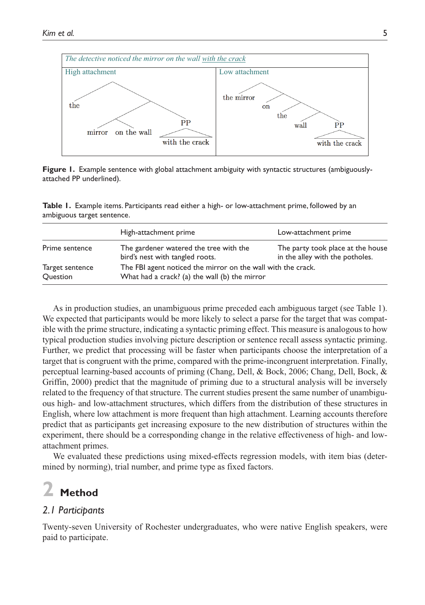

**Figure 1.** Example sentence with global attachment ambiguity with syntactic structures (ambiguouslyattached PP underlined).

**Table 1.** Example items. Participants read either a high- or low-attachment prime, followed by an ambiguous target sentence.

|                             | High-attachment prime                                                                                         | Low-attachment prime                                                 |
|-----------------------------|---------------------------------------------------------------------------------------------------------------|----------------------------------------------------------------------|
| Prime sentence              | The gardener watered the tree with the<br>bird's nest with tangled roots.                                     | The party took place at the house<br>in the alley with the potholes. |
| Target sentence<br>Question | The FBI agent noticed the mirror on the wall with the crack.<br>What had a crack? (a) the wall (b) the mirror |                                                                      |

As in production studies, an unambiguous prime preceded each ambiguous target (see Table 1). We expected that participants would be more likely to select a parse for the target that was compatible with the prime structure, indicating a syntactic priming effect. This measure is analogous to how typical production studies involving picture description or sentence recall assess syntactic priming. Further, we predict that processing will be faster when participants choose the interpretation of a target that is congruent with the prime, compared with the prime-incongruent interpretation. Finally, perceptual learning-based accounts of priming (Chang, Dell, & Bock, 2006; Chang, Dell, Bock, & Griffin, 2000) predict that the magnitude of priming due to a structural analysis will be inversely related to the frequency of that structure. The current studies present the same number of unambiguous high- and low-attachment structures, which differs from the distribution of these structures in English, where low attachment is more frequent than high attachment. Learning accounts therefore predict that as participants get increasing exposure to the new distribution of structures within the experiment, there should be a corresponding change in the relative effectiveness of high- and lowattachment primes.

We evaluated these predictions using mixed-effects regression models, with item bias (determined by norming), trial number, and prime type as fixed factors.

# **2 Method**

### *2.1 Participants*

Twenty-seven University of Rochester undergraduates, who were native English speakers, were paid to participate.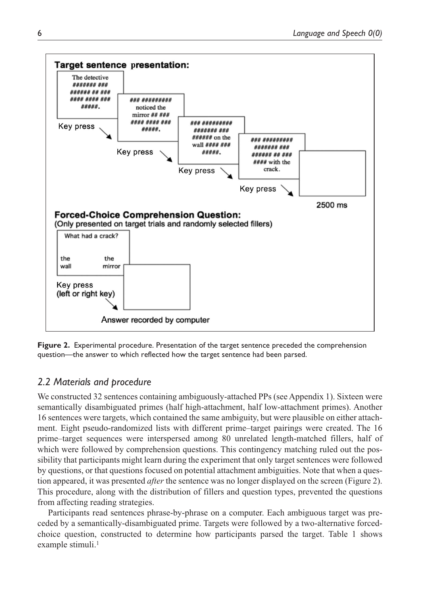

**Figure 2.** Experimental procedure. Presentation of the target sentence preceded the comprehension question—the answer to which reflected how the target sentence had been parsed.

## *2.2 Materials and procedure*

We constructed 32 sentences containing ambiguously-attached PPs (see Appendix 1). Sixteen were semantically disambiguated primes (half high-attachment, half low-attachment primes). Another 16 sentences were targets, which contained the same ambiguity, but were plausible on either attachment. Eight pseudo-randomized lists with different prime–target pairings were created. The 16 prime–target sequences were interspersed among 80 unrelated length-matched fillers, half of which were followed by comprehension questions. This contingency matching ruled out the possibility that participants might learn during the experiment that only target sentences were followed by questions, or that questions focused on potential attachment ambiguities. Note that when a question appeared, it was presented *after* the sentence was no longer displayed on the screen (Figure 2). This procedure, along with the distribution of fillers and question types, prevented the questions from affecting reading strategies.

Participants read sentences phrase-by-phrase on a computer. Each ambiguous target was preceded by a semantically-disambiguated prime. Targets were followed by a two-alternative forcedchoice question, constructed to determine how participants parsed the target. Table 1 shows example stimuli.<sup>1</sup>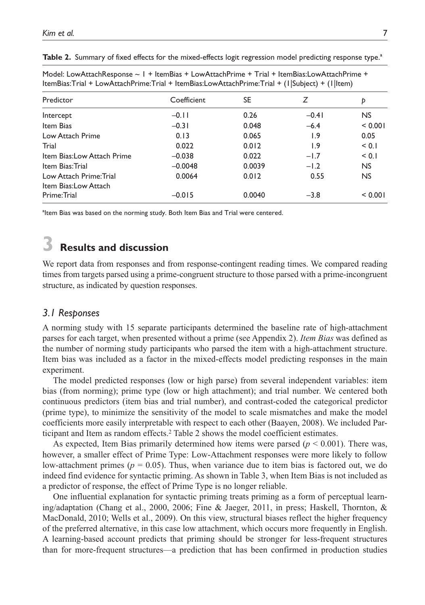| Proder. LowAttachResponse $\sim$ 1 $\pm$ rembias $\pm$ LowAttachPrime $\pm$ Trial $\pm$ rembias:LowAttachPrime $\pm$<br>ItemBias:Trial + LowAttachPrime:Trial + ItemBias:LowAttachPrime:Trial + (I Subject) + (I Item) |             |        |         |           |
|------------------------------------------------------------------------------------------------------------------------------------------------------------------------------------------------------------------------|-------------|--------|---------|-----------|
| Predictor                                                                                                                                                                                                              | Coefficient | SE     | Ζ       | Þ         |
| Intercept                                                                                                                                                                                                              | $-0.11$     | 0.26   | $-0.41$ | <b>NS</b> |
| Item Bias                                                                                                                                                                                                              | $-0.31$     | 0.048  | $-6.4$  | < 0.001   |
| Low Attach Prime                                                                                                                                                                                                       | 0.13        | 0.065  | 1.9     | 0.05      |
| Trial                                                                                                                                                                                                                  | 0.022       | 0.012  | 1.9     | < 0.1     |
| Item Bias:Low Attach Prime                                                                                                                                                                                             | $-0.038$    | 0.022  | $-1.7$  | < 0.1     |
| Item Bias: Trial                                                                                                                                                                                                       | $-0.0048$   | 0.0039 | $-1.2$  | <b>NS</b> |
| Low Attach Prime: Trial                                                                                                                                                                                                | 0.0064      | 0.012  | 0.55    | <b>NS</b> |
| Item Bias:Low Attach                                                                                                                                                                                                   |             |        |         |           |
| Prime: Trial                                                                                                                                                                                                           | $-0.015$    | 0.0040 | $-3.8$  | < 0.001   |

**Table 2.** Summary of fixed effects for the mixed-effects logit regression model predicting response type.ª

Model: LowAttachResponse ~ 1 + ItemBias + LowAttachPrime + Trial + ItemBias:LowAttachPrime +

<sup>a</sup>ltem Bias was based on the norming study. Both Item Bias and Trial were centered.

## **3 Results and discussion**

We report data from responses and from response-contingent reading times. We compared reading times from targets parsed using a prime-congruent structure to those parsed with a prime-incongruent structure, as indicated by question responses.

#### *3.1 Responses*

A norming study with 15 separate participants determined the baseline rate of high-attachment parses for each target, when presented without a prime (see Appendix 2). *Item Bias* was defined as the number of norming study participants who parsed the item with a high-attachment structure. Item bias was included as a factor in the mixed-effects model predicting responses in the main experiment.

The model predicted responses (low or high parse) from several independent variables: item bias (from norming); prime type (low or high attachment); and trial number. We centered both continuous predictors (item bias and trial number), and contrast-coded the categorical predictor (prime type), to minimize the sensitivity of the model to scale mismatches and make the model coefficients more easily interpretable with respect to each other (Baayen, 2008). We included Participant and Item as random effects.<sup>2</sup> Table 2 shows the model coefficient estimates.

As expected, Item Bias primarily determined how items were parsed  $(p < 0.001)$ . There was, however, a smaller effect of Prime Type: Low-Attachment responses were more likely to follow low-attachment primes ( $p = 0.05$ ). Thus, when variance due to item bias is factored out, we do indeed find evidence for syntactic priming. As shown in Table 3, when Item Bias is not included as a predictor of response, the effect of Prime Type is no longer reliable.

One influential explanation for syntactic priming treats priming as a form of perceptual learning/adaptation (Chang et al., 2000, 2006; Fine & Jaeger, 2011, in press; Haskell, Thornton, & MacDonald, 2010; Wells et al., 2009). On this view, structural biases reflect the higher frequency of the preferred alternative, in this case low attachment, which occurs more frequently in English. A learning-based account predicts that priming should be stronger for less-frequent structures than for more-frequent structures—a prediction that has been confirmed in production studies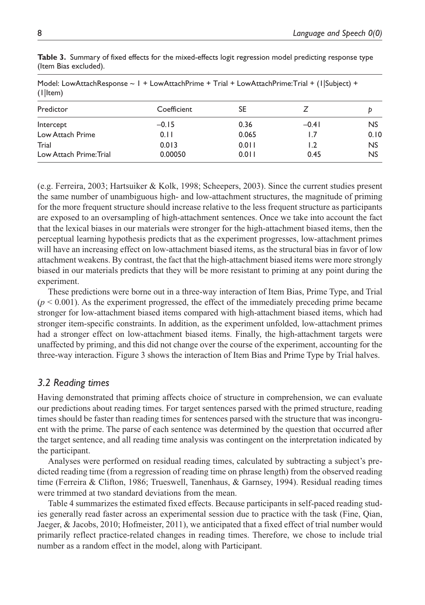| $(1 $ Item)             |             |       |         |           |
|-------------------------|-------------|-------|---------|-----------|
| Predictor               | Coefficient | SE    |         |           |
| Intercept               | $-0.15$     | 0.36  | $-0.41$ | <b>NS</b> |
| Low Attach Prime        | 0.11        | 0.065 | 1.7     | 0.10      |
| Trial                   | 0.013       | 0.011 | 1.2     | <b>NS</b> |
| Low Attach Prime: Trial | 0.00050     | 0.011 | 0.45    | <b>NS</b> |

**Table 3.** Summary of fixed effects for the mixed-effects logit regression model predicting response type (Item Bias excluded).

Model: LowAttachResponse ~ 1 + LowAttachPrime + Trial + LowAttachPrime:Trial + (1|Subject) +

(e.g. Ferreira, 2003; Hartsuiker & Kolk, 1998; Scheepers, 2003). Since the current studies present the same number of unambiguous high- and low-attachment structures, the magnitude of priming for the more frequent structure should increase relative to the less frequent structure as participants are exposed to an oversampling of high-attachment sentences. Once we take into account the fact that the lexical biases in our materials were stronger for the high-attachment biased items, then the perceptual learning hypothesis predicts that as the experiment progresses, low-attachment primes will have an increasing effect on low-attachment biased items, as the structural bias in favor of low attachment weakens. By contrast, the fact that the high-attachment biased items were more strongly biased in our materials predicts that they will be more resistant to priming at any point during the experiment.

These predictions were borne out in a three-way interaction of Item Bias, Prime Type, and Trial  $(p < 0.001)$ . As the experiment progressed, the effect of the immediately preceding prime became stronger for low-attachment biased items compared with high-attachment biased items, which had stronger item-specific constraints. In addition, as the experiment unfolded, low-attachment primes had a stronger effect on low-attachment biased items. Finally, the high-attachment targets were unaffected by priming, and this did not change over the course of the experiment, accounting for the three-way interaction. Figure 3 shows the interaction of Item Bias and Prime Type by Trial halves.

### *3.2 Reading times*

Having demonstrated that priming affects choice of structure in comprehension, we can evaluate our predictions about reading times. For target sentences parsed with the primed structure, reading times should be faster than reading times for sentences parsed with the structure that was incongruent with the prime. The parse of each sentence was determined by the question that occurred after the target sentence, and all reading time analysis was contingent on the interpretation indicated by the participant.

Analyses were performed on residual reading times, calculated by subtracting a subject's predicted reading time (from a regression of reading time on phrase length) from the observed reading time (Ferreira & Clifton, 1986; Trueswell, Tanenhaus, & Garnsey, 1994). Residual reading times were trimmed at two standard deviations from the mean.

Table 4 summarizes the estimated fixed effects. Because participants in self-paced reading studies generally read faster across an experimental session due to practice with the task (Fine, Qian, Jaeger, & Jacobs, 2010; Hofmeister, 2011), we anticipated that a fixed effect of trial number would primarily reflect practice-related changes in reading times. Therefore, we chose to include trial number as a random effect in the model, along with Participant.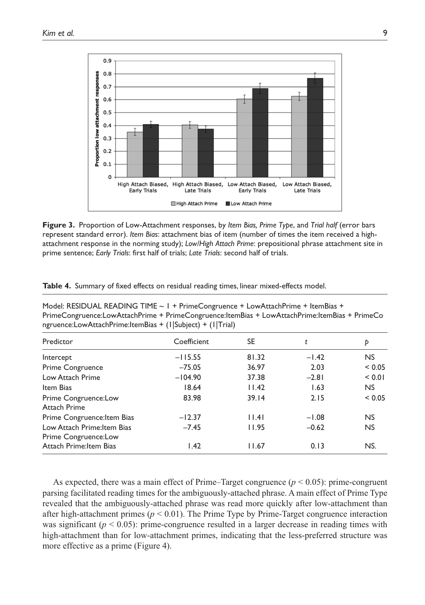

**Figure 3.** Proportion of Low-Attachment responses, by *Item Bias, Prime Type*, and *Trial half* (error bars represent standard error). *Item Bias*: attachment bias of item (number of times the item received a highattachment response in the norming study); *Low/High Attach Prime*: prepositional phrase attachment site in prime sentence; *Early Trials*: first half of trials; *Late Trials*: second half of trials.

**Table 4.** Summary of fixed effects on residual reading times, linear mixed-effects model.

| $\frac{1}{2}$ . a she shows he received in the second state.<br>$\cdots$ |             |       |         |           |
|--------------------------------------------------------------------------|-------------|-------|---------|-----------|
| Predictor                                                                | Coefficient | SE.   |         | Þ         |
| Intercept                                                                | $-115.55$   | 81.32 | $-1.42$ | NS.       |
| Prime Congruence                                                         | $-75.05$    | 36.97 | 2.03    | < 0.05    |
| Low Attach Prime                                                         | $-104.90$   | 37.38 | $-2.81$ | < 0.01    |
| Item Bias                                                                | 18.64       | 11.42 | 1.63    | NS.       |
| Prime Congruence:Low<br><b>Attach Prime</b>                              | 83.98       | 39.14 | 2.15    | < 0.05    |
| Prime Congruence: Item Bias                                              | $-12.37$    | 11.4  | $-1.08$ | <b>NS</b> |
| Low Attach Prime: Item Bias<br>Prime Congruence:Low                      | $-7.45$     | 11.95 | $-0.62$ | <b>NS</b> |
| Attach Prime: Item Bias                                                  | 1.42        | 11.67 | 0.13    | NS.       |

Model: RESIDUAL READING TIME ~ 1 + PrimeCongruence + LowAttachPrime + ItemBias + PrimeCongruence:LowAttachPrime + PrimeCongruence:ItemBias + LowAttachPrime:ItemBias + PrimeCo ngruence:LowAttachPrime:ItemBias + (1|Subject) + (1|Trial)

As expected, there was a main effect of Prime–Target congruence ( $p < 0.05$ ): prime-congruent parsing facilitated reading times for the ambiguously-attached phrase. A main effect of Prime Type revealed that the ambiguously-attached phrase was read more quickly after low-attachment than after high-attachment primes ( $p < 0.01$ ). The Prime Type by Prime-Target congruence interaction was significant  $(p < 0.05)$ : prime-congruence resulted in a larger decrease in reading times with high-attachment than for low-attachment primes, indicating that the less-preferred structure was more effective as a prime (Figure 4).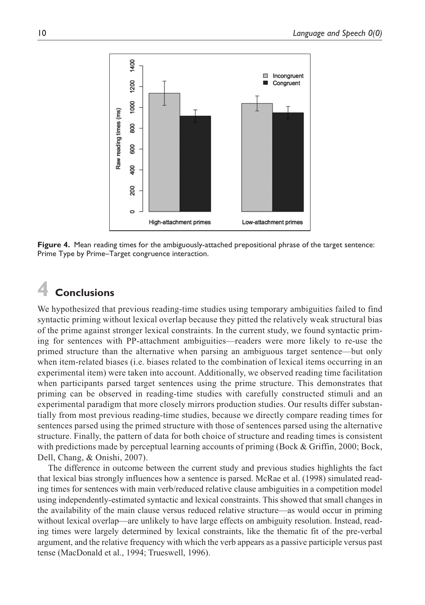

**Figure 4.** Mean reading times for the ambiguously-attached prepositional phrase of the target sentence: Prime Type by Prime–Target congruence interaction.

## **4 Conclusions**

We hypothesized that previous reading-time studies using temporary ambiguities failed to find syntactic priming without lexical overlap because they pitted the relatively weak structural bias of the prime against stronger lexical constraints. In the current study, we found syntactic priming for sentences with PP-attachment ambiguities—readers were more likely to re-use the primed structure than the alternative when parsing an ambiguous target sentence—but only when item-related biases (i.e. biases related to the combination of lexical items occurring in an experimental item) were taken into account. Additionally, we observed reading time facilitation when participants parsed target sentences using the prime structure. This demonstrates that priming can be observed in reading-time studies with carefully constructed stimuli and an experimental paradigm that more closely mirrors production studies. Our results differ substantially from most previous reading-time studies, because we directly compare reading times for sentences parsed using the primed structure with those of sentences parsed using the alternative structure. Finally, the pattern of data for both choice of structure and reading times is consistent with predictions made by perceptual learning accounts of priming (Bock & Griffin, 2000; Bock, Dell, Chang, & Onishi, 2007).

The difference in outcome between the current study and previous studies highlights the fact that lexical bias strongly influences how a sentence is parsed. McRae et al. (1998) simulated reading times for sentences with main verb/reduced relative clause ambiguities in a competition model using independently-estimated syntactic and lexical constraints. This showed that small changes in the availability of the main clause versus reduced relative structure—as would occur in priming without lexical overlap—are unlikely to have large effects on ambiguity resolution. Instead, reading times were largely determined by lexical constraints, like the thematic fit of the pre-verbal argument, and the relative frequency with which the verb appears as a passive participle versus past tense (MacDonald et al., 1994; Trueswell, 1996).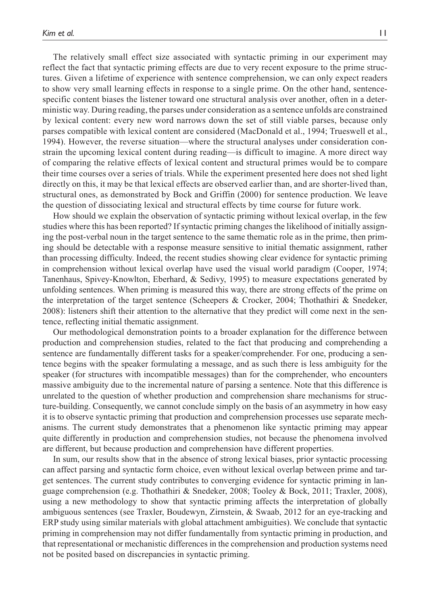The relatively small effect size associated with syntactic priming in our experiment may reflect the fact that syntactic priming effects are due to very recent exposure to the prime structures. Given a lifetime of experience with sentence comprehension, we can only expect readers to show very small learning effects in response to a single prime. On the other hand, sentencespecific content biases the listener toward one structural analysis over another, often in a deterministic way. During reading, the parses under consideration as a sentence unfolds are constrained by lexical content: every new word narrows down the set of still viable parses, because only parses compatible with lexical content are considered (MacDonald et al., 1994; Trueswell et al., 1994). However, the reverse situation—where the structural analyses under consideration constrain the upcoming lexical content during reading—is difficult to imagine. A more direct way of comparing the relative effects of lexical content and structural primes would be to compare their time courses over a series of trials. While the experiment presented here does not shed light directly on this, it may be that lexical effects are observed earlier than, and are shorter-lived than, structural ones, as demonstrated by Bock and Griffin (2000) for sentence production. We leave the question of dissociating lexical and structural effects by time course for future work.

How should we explain the observation of syntactic priming without lexical overlap, in the few studies where this has been reported? If syntactic priming changes the likelihood of initially assigning the post-verbal noun in the target sentence to the same thematic role as in the prime, then priming should be detectable with a response measure sensitive to initial thematic assignment, rather than processing difficulty. Indeed, the recent studies showing clear evidence for syntactic priming in comprehension without lexical overlap have used the visual world paradigm (Cooper, 1974; Tanenhaus, Spivey-Knowlton, Eberhard, & Sedivy, 1995) to measure expectations generated by unfolding sentences. When priming is measured this way, there are strong effects of the prime on the interpretation of the target sentence (Scheepers & Crocker, 2004; Thothathiri & Snedeker, 2008): listeners shift their attention to the alternative that they predict will come next in the sentence, reflecting initial thematic assignment.

Our methodological demonstration points to a broader explanation for the difference between production and comprehension studies, related to the fact that producing and comprehending a sentence are fundamentally different tasks for a speaker/comprehender. For one, producing a sentence begins with the speaker formulating a message, and as such there is less ambiguity for the speaker (for structures with incompatible messages) than for the comprehender, who encounters massive ambiguity due to the incremental nature of parsing a sentence. Note that this difference is unrelated to the question of whether production and comprehension share mechanisms for structure-building. Consequently, we cannot conclude simply on the basis of an asymmetry in how easy it is to observe syntactic priming that production and comprehension processes use separate mechanisms. The current study demonstrates that a phenomenon like syntactic priming may appear quite differently in production and comprehension studies, not because the phenomena involved are different, but because production and comprehension have different properties.

In sum, our results show that in the absence of strong lexical biases, prior syntactic processing can affect parsing and syntactic form choice, even without lexical overlap between prime and target sentences. The current study contributes to converging evidence for syntactic priming in language comprehension (e.g. Thothathiri & Snedeker, 2008; Tooley & Bock, 2011; Traxler, 2008), using a new methodology to show that syntactic priming affects the interpretation of globally ambiguous sentences (see Traxler, Boudewyn, Zirnstein, & Swaab, 2012 for an eye-tracking and ERP study using similar materials with global attachment ambiguities). We conclude that syntactic priming in comprehension may not differ fundamentally from syntactic priming in production, and that representational or mechanistic differences in the comprehension and production systems need not be posited based on discrepancies in syntactic priming.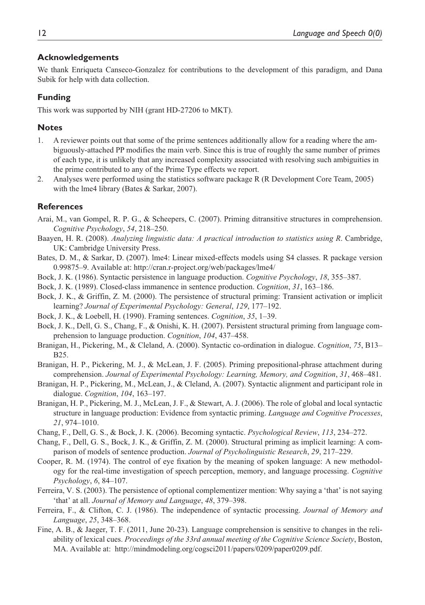### **Acknowledgements**

We thank Enriqueta Canseco-Gonzalez for contributions to the development of this paradigm, and Dana Subik for help with data collection.

### **Funding**

This work was supported by NIH (grant HD-27206 to MKT).

### **Notes**

- 1. A reviewer points out that some of the prime sentences additionally allow for a reading where the ambiguously-attached PP modifies the main verb. Since this is true of roughly the same number of primes of each type, it is unlikely that any increased complexity associated with resolving such ambiguities in the prime contributed to any of the Prime Type effects we report.
- 2. Analyses were performed using the statistics software package R (R Development Core Team, 2005) with the lme4 library (Bates & Sarkar, 2007).

### **References**

- Arai, M., van Gompel, R. P. G., & Scheepers, C. (2007). Priming ditransitive structures in comprehension. *Cognitive Psychology*, *54*, 218–250.
- Baayen, H. R. (2008). *Analyzing linguistic data: A practical introduction to statistics using R*. Cambridge, UK: Cambridge University Press.
- Bates, D. M., & Sarkar, D. (2007). lme4: Linear mixed-effects models using S4 classes. R package version 0.99875–9. Available at: http://cran.r-project.org/web/packages/lme4/
- Bock, J. K. (1986). Syntactic persistence in language production. *Cognitive Psychology*, *18*, 355–387.
- Bock, J. K. (1989). Closed-class immanence in sentence production. *Cognition*, *31*, 163–186.
- Bock, J. K., & Griffin, Z. M. (2000). The persistence of structural priming: Transient activation or implicit learning? *Journal of Experimental Psychology: General*, *129*, 177–192.
- Bock, J. K., & Loebell, H. (1990). Framing sentences. *Cognition*, *35*, 1–39.
- Bock, J. K., Dell, G. S., Chang, F., & Onishi, K. H. (2007). Persistent structural priming from language comprehension to language production. *Cognition*, *104*, 437–458.
- Branigan, H., Pickering, M., & Cleland, A. (2000). Syntactic co-ordination in dialogue. *Cognition*, *75*, B13– B25.
- Branigan, H. P., Pickering, M. J., & McLean, J. F. (2005). Priming prepositional-phrase attachment during comprehension. *Journal of Experimental Psychology: Learning, Memory, and Cognition*, *31*, 468–481.
- Branigan, H. P., Pickering, M., McLean, J., & Cleland, A. (2007). Syntactic alignment and participant role in dialogue. *Cognition*, *104*, 163–197.
- Branigan, H. P., Pickering, M. J., McLean, J. F., & Stewart, A. J. (2006). The role of global and local syntactic structure in language production: Evidence from syntactic priming. *Language and Cognitive Processes*, *21*, 974–1010.
- Chang, F., Dell, G. S., & Bock, J. K. (2006). Becoming syntactic. *Psychological Review*, *113*, 234–272.
- Chang, F., Dell, G. S., Bock, J. K., & Griffin, Z. M. (2000). Structural priming as implicit learning: A comparison of models of sentence production. *Journal of Psycholinguistic Research*, *29*, 217–229.
- Cooper, R. M. (1974). The control of eye fixation by the meaning of spoken language: A new methodology for the real-time investigation of speech perception, memory, and language processing. *Cognitive Psychology*, *6*, 84–107.
- Ferreira, V. S. (2003). The persistence of optional complementizer mention: Why saying a 'that' is not saying 'that' at all. *Journal of Memory and Language*, *48*, 379–398.
- Ferreira, F., & Clifton, C. J. (1986). The independence of syntactic processing. *Journal of Memory and Language*, *25*, 348–368.
- Fine, A. B., & Jaeger, T. F. (2011, June 20-23). Language comprehension is sensitive to changes in the reliability of lexical cues. *Proceedings of the 33rd annual meeting of the Cognitive Science Society*, Boston, MA. Available at: http://mindmodeling.org/cogsci2011/papers/0209/paper0209.pdf.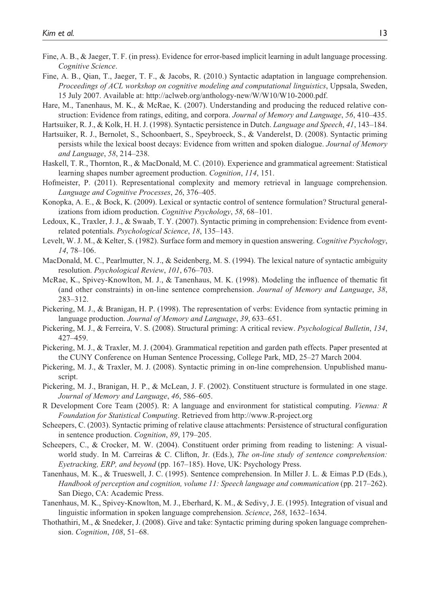- Fine, A. B., & Jaeger, T. F. (in press). Evidence for error-based implicit learning in adult language processing. *Cognitive Science*.
- Fine, A. B., Qian, T., Jaeger, T. F., & Jacobs, R. (2010.) Syntactic adaptation in language comprehension. *Proceedings of ACL workshop on cognitive modeling and computational linguistics*, Uppsala, Sweden, 15 July 2007. Available at: http://aclweb.org/anthology-new/W/W10/W10-2000.pdf.
- Hare, M., Tanenhaus, M. K., & McRae, K. (2007). Understanding and producing the reduced relative construction: Evidence from ratings, editing, and corpora. *Journal of Memory and Language*, *56*, 410–435.
- Hartsuiker, R. J., & Kolk, H. H. J. (1998). Syntactic persistence in Dutch. *Language and Speech*, *41*, 143–184.
- Hartsuiker, R. J., Bernolet, S., Schoonbaert, S., Speybroeck, S., & Vanderelst, D. (2008). Syntactic priming persists while the lexical boost decays: Evidence from written and spoken dialogue. *Journal of Memory and Language*, *58*, 214–238.
- Haskell, T. R., Thornton, R., & MacDonald, M. C. (2010). Experience and grammatical agreement: Statistical learning shapes number agreement production. *Cognition*, *114*, 151.
- Hofmeister, P. (2011). Representational complexity and memory retrieval in language comprehension. *Language and Cognitive Processes*, *26*, 376–405.
- Konopka, A. E., & Bock, K. (2009). Lexical or syntactic control of sentence formulation? Structural generalizations from idiom production. *Cognitive Psychology*, *58*, 68–101.
- Ledoux, K., Traxler, J. J., & Swaab, T. Y. (2007). Syntactic priming in comprehension: Evidence from eventrelated potentials. *Psychological Science*, *18*, 135–143.
- Levelt, W. J. M., & Kelter, S. (1982). Surface form and memory in question answering. *Cognitive Psychology*, *14*, 78–106.
- MacDonald, M. C., Pearlmutter, N. J., & Seidenberg, M. S. (1994). The lexical nature of syntactic ambiguity resolution. *Psychological Review*, *101*, 676–703.
- McRae, K., Spivey-Knowlton, M. J., & Tanenhaus, M. K. (1998). Modeling the influence of thematic fit (and other constraints) in on-line sentence comprehension. *Journal of Memory and Language*, *38*, 283–312.
- Pickering, M. J., & Branigan, H. P. (1998). The representation of verbs: Evidence from syntactic priming in language production. *Journal of Memory and Language*, *39*, 633–651.
- Pickering, M. J., & Ferreira, V. S. (2008). Structural priming: A critical review. *Psychological Bulletin*, *134*, 427–459.
- Pickering, M. J., & Traxler, M. J. (2004). Grammatical repetition and garden path effects. Paper presented at the CUNY Conference on Human Sentence Processing, College Park, MD, 25–27 March 2004.
- Pickering, M. J., & Traxler, M. J. (2008). Syntactic priming in on-line comprehension. Unpublished manuscript.
- Pickering, M. J., Branigan, H. P., & McLean, J. F. (2002). Constituent structure is formulated in one stage. *Journal of Memory and Language*, *46*, 586–605.
- R Development Core Team (2005). R: A language and environment for statistical computing. *Vienna: R Foundation for Statistical Computing*. Retrieved from http://www.R-project.org
- Scheepers, C. (2003). Syntactic priming of relative clause attachments: Persistence of structural configuration in sentence production. *Cognition*, *89*, 179–205.
- Scheepers, C., & Crocker, M. W. (2004). Constituent order priming from reading to listening: A visualworld study. In M. Carreiras & C. Clifton, Jr. (Eds.), *The on-line study of sentence comprehension: Eyetracking, ERP, and beyond* (pp. 167–185). Hove, UK: Psychology Press.
- Tanenhaus, M. K., & Trueswell, J. C. (1995). Sentence comprehension. In Miller J. L. & Eimas P.D (Eds.), *Handbook of perception and cognition, volume 11: Speech language and communication* (pp. 217–262). San Diego, CA: Academic Press.
- Tanenhaus, M. K., Spivey-Knowlton, M. J., Eberhard, K. M., & Sedivy, J. E. (1995). Integration of visual and linguistic information in spoken language comprehension. *Science*, *268*, 1632–1634.
- Thothathiri, M., & Snedeker, J. (2008). Give and take: Syntactic priming during spoken language comprehension. *Cognition*, *108*, 51–68.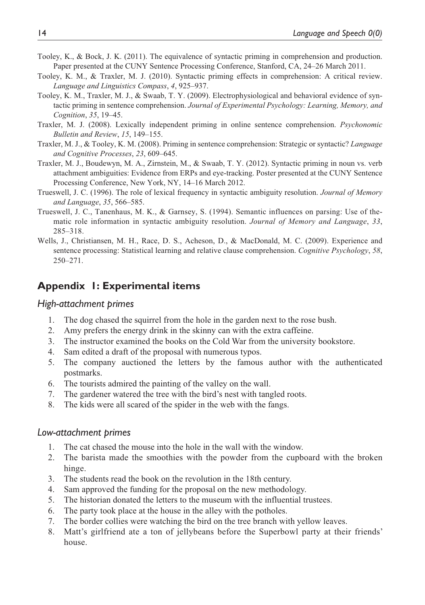- Tooley, K., & Bock, J. K. (2011). The equivalence of syntactic priming in comprehension and production. Paper presented at the CUNY Sentence Processing Conference, Stanford, CA, 24–26 March 2011.
- Tooley, K. M., & Traxler, M. J. (2010). Syntactic priming effects in comprehension: A critical review. *Language and Linguistics Compass*, *4*, 925–937.
- Tooley, K. M., Traxler, M. J., & Swaab, T. Y. (2009). Electrophysiological and behavioral evidence of syntactic priming in sentence comprehension. *Journal of Experimental Psychology: Learning, Memory, and Cognition*, *35*, 19–45.
- Traxler, M. J. (2008). Lexically independent priming in online sentence comprehension. *Psychonomic Bulletin and Review*, *15*, 149–155.
- Traxler, M. J., & Tooley, K. M. (2008). Priming in sentence comprehension: Strategic or syntactic? *Language and Cognitive Processes*, *23*, 609–645.
- Traxler, M. J., Boudewyn, M. A., Zirnstein, M., & Swaab, T. Y. (2012). Syntactic priming in noun vs. verb attachment ambiguities: Evidence from ERPs and eye-tracking. Poster presented at the CUNY Sentence Processing Conference, New York, NY, 14–16 March 2012.
- Trueswell, J. C. (1996). The role of lexical frequency in syntactic ambiguity resolution. *Journal of Memory and Language*, *35*, 566–585.
- Trueswell, J. C., Tanenhaus, M. K., & Garnsey, S. (1994). Semantic influences on parsing: Use of thematic role information in syntactic ambiguity resolution. *Journal of Memory and Language*, *33*, 285–318.
- Wells, J., Christiansen, M. H., Race, D. S., Acheson, D., & MacDonald, M. C. (2009). Experience and sentence processing: Statistical learning and relative clause comprehension. *Cognitive Psychology*, *58*, 250–271.

### **Appendix 1: Experimental items**

#### *High-attachment primes*

- 1. The dog chased the squirrel from the hole in the garden next to the rose bush.
- 2. Amy prefers the energy drink in the skinny can with the extra caffeine.
- 3. The instructor examined the books on the Cold War from the university bookstore.
- 4. Sam edited a draft of the proposal with numerous typos.
- 5. The company auctioned the letters by the famous author with the authenticated postmarks.
- 6. The tourists admired the painting of the valley on the wall.
- 7. The gardener watered the tree with the bird's nest with tangled roots.
- 8. The kids were all scared of the spider in the web with the fangs.

### *Low-attachment primes*

- 1. The cat chased the mouse into the hole in the wall with the window.
- 2. The barista made the smoothies with the powder from the cupboard with the broken hinge.
- 3. The students read the book on the revolution in the 18th century.
- 4. Sam approved the funding for the proposal on the new methodology.
- 5. The historian donated the letters to the museum with the influential trustees.
- 6. The party took place at the house in the alley with the potholes.
- 7. The border collies were watching the bird on the tree branch with yellow leaves.
- 8. Matt's girlfriend ate a ton of jellybeans before the Superbowl party at their friends' house.